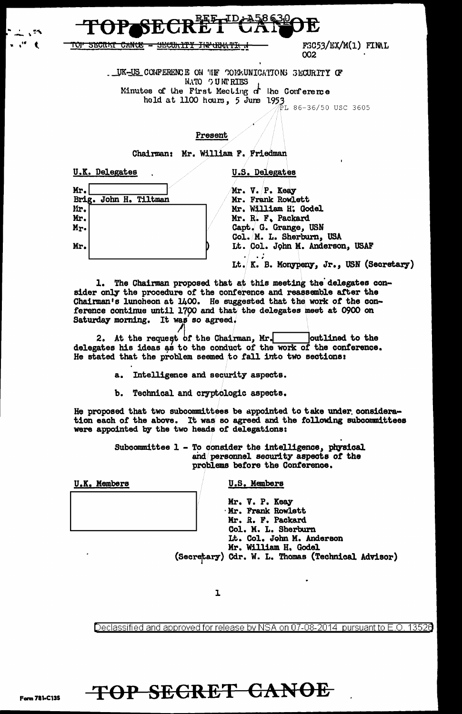

<u> 1012 SECRET CANCE - SECULITY INPORTIE I</u>

F3C53/EX/M(1) FINAL 002

LUK-US CONFERENCE ON THE COMMUNICATIONS SECURITY OF NATO OUNTRIES Minutes of the First Mecting  $d$  the Conference  $\frac{1}{2}$  at the fuse increase of  $\frac{1}{2}$  dume 1953<br>held at 1100 hours, 5 dume 1953

## Present

Chairman: Mr. William F. Friedman

**U.K. Delegates** 

**U.S. Delegates** 

|  | Mr.<br>Brig. John H. Tiltman |
|--|------------------------------|

Mr. V. P. Keay Mr. Frank Rowlett Mr. William H. Godel Mr. R. F. Packard Capt. G. Grange, USN Col. M. L. Sherburn, USA Lt. Col. John M. Anderson, USAF

Lt. K. B. Monypeny, Jr., USN (Secretary)

1. The Chairman proposed that at this meeting the delegates consider only the procedure of the conference and reassemble after the Chairman's luncheon at 1400. He suggested that the work of the conference continue until 1700 and that the delegates meet at 0900 on Saturday morning. It was so agreed.

He stated that the problem seemed to fall into two sections:

a. Intelligence and security aspects.

Technical and cryptologic aspects. b.

He proposed that two subcommittees be appointed to take under consideration each of the above. It was so agreed and the following subcommittees were appointed by the two heads of delegations:

> Subcommittee 1 - To consider the intelligence, physical and personnel security aspects of the problems before the Conference.

U.K. Members

U.S. Members

Mr. V. P. Keay Mr. Frank Rowlett Mr. R. F. Packard Col. M. L. Sherburn Lt. Col. John M. Anderson<br>Mr. William H. Godel (Secretary) Cdr. W. L. Thomas (Technical Advisor)

ı

Declassified and approved for release by NSA on 07-08-2014 pursuant to E.O. 13526

## TOP SECRET CANOE